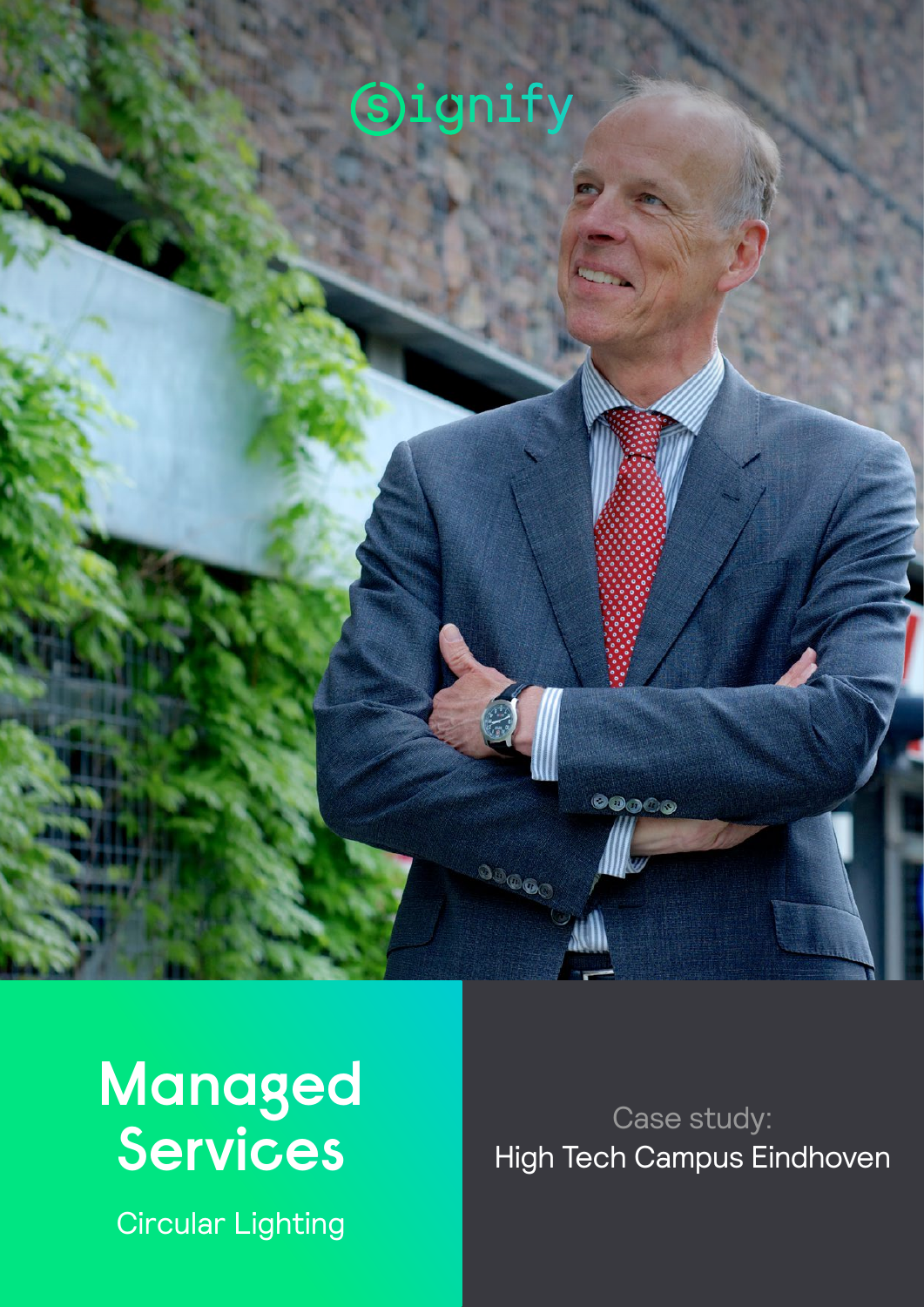



Circular Lighting

Case study: High Tech Campus Eindhoven

00000

00000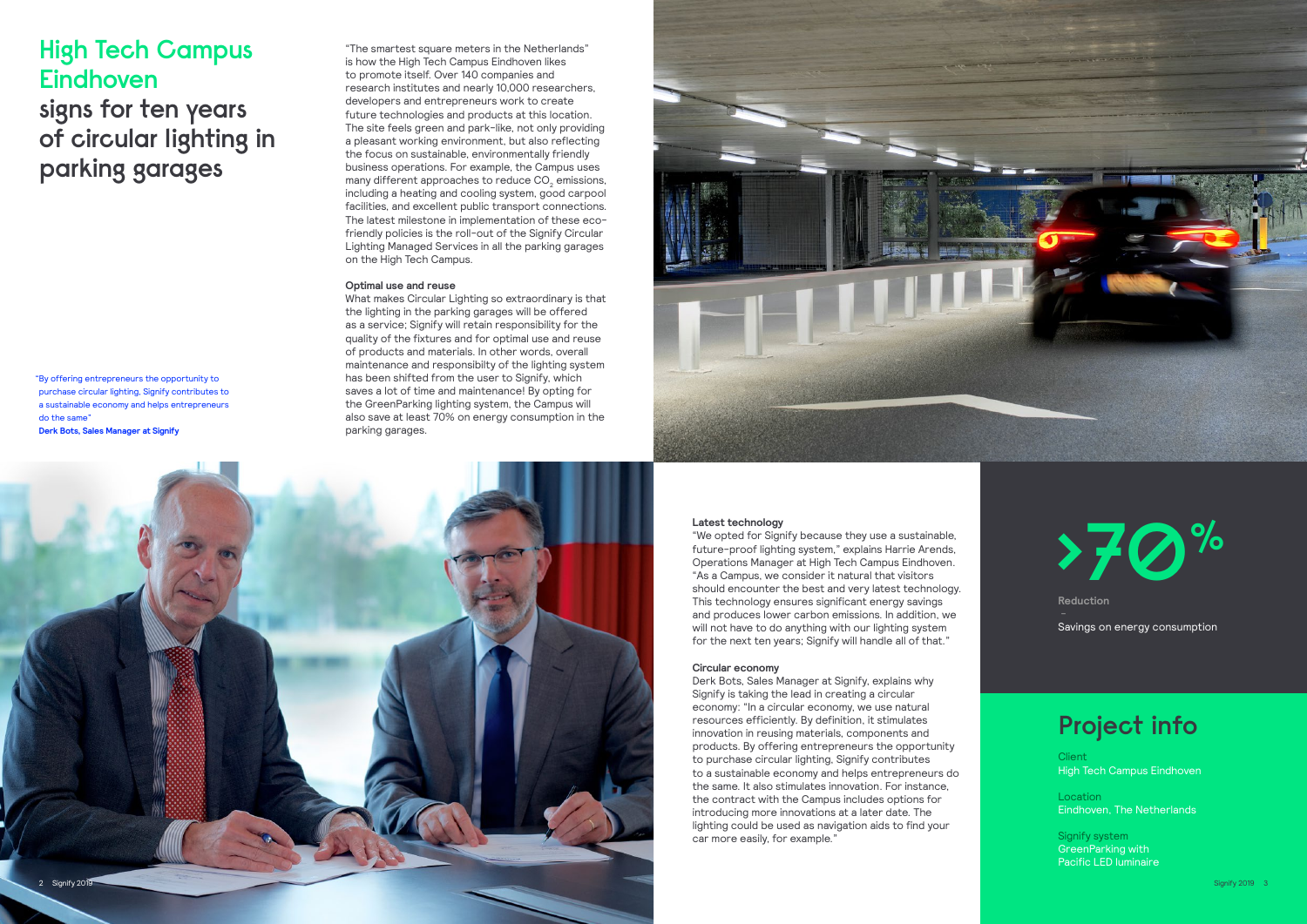## **Project info**

**Client** High Tech Campus Eindhoven

**Location** Eindhoven, The Netherlands

Signify system GreenParking with Pacific LED luminaire

"The smartest square meters in the Netherlands" is how the High Tech Campus Eindhoven likes to promote itself. Over 140 companies and research institutes and nearly 10,000 researchers, developers and entrepreneurs work to create future technologies and products at this location. The site feels green and park-like, not only providing a pleasant working environment, but also reflecting the focus on sustainable, environmentally friendly business operations. For example, the Campus uses many different approaches to reduce CO<sub>2</sub> emissions, including a heating and cooling system, good carpool facilities, and excellent public transport connections. The latest milestone in implementation of these ecofriendly policies is the roll-out of the Signify Circular Lighting Managed Services in all the parking garages on the High Tech Campus.

### **Optimal use and reuse**

What makes Circular Lighting so extraordinary is that the lighting in the parking garages will be offered as a service; Signify will retain responsibility for the quality of the fixtures and for optimal use and reuse of products and materials. In other words, overall maintenance and responsibilty of the lighting system has been shifted from the user to Signify, which saves a lot of time and maintenance! By opting for the GreenParking lighting system, the Campus will also save at least 70% on energy consumption in the parking garages.

# **High Tech Campus Eindhoven signs for ten years of circular lighting in parking garages**

"By offering entrepreneurs the opportunity to purchase circular lighting, Signify contributes to a sustainable economy and helps entrepreneurs do the same"

**Derk Bots, Sales Manager at Signify**





#### **Latest technology**

"We opted for Signify because they use a sustainable, future-proof lighting system," explains Harrie Arends, Operations Manager at High Tech Campus Eindhoven. "As a Campus, we consider it natural that visitors should encounter the best and very latest technology. This technology ensures significant energy savings and produces lower carbon emissions. In addition, we will not have to do anything with our lighting system for the next ten years; Signify will handle all of that."

#### **Circular economy**

Derk Bots, Sales Manager at Signify, explains why Signify is taking the lead in creating a circular economy: "In a circular economy, we use natural resources efficiently. By definition, it stimulates innovation in reusing materials, components and products. By offering entrepreneurs the opportunity to purchase circular lighting, Signify contributes to a sustainable economy and helps entrepreneurs do the same. It also stimulates innovation. For instance, the contract with the Campus includes options for introducing more innovations at a later date. The lighting could be used as navigation aids to find your car more easily, for example."



**Reduction** 

Savings on energy consumption